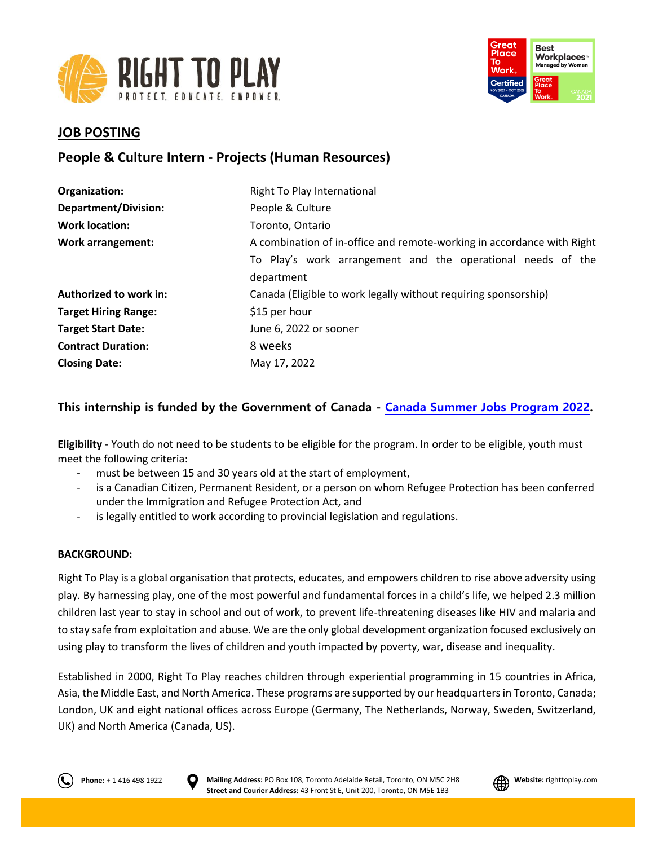



## **JOB POSTING**

# **People & Culture Intern - Projects (Human Resources)**

| Organization:               | Right To Play International                                            |
|-----------------------------|------------------------------------------------------------------------|
| <b>Department/Division:</b> | People & Culture                                                       |
| <b>Work location:</b>       | Toronto, Ontario                                                       |
| <b>Work arrangement:</b>    | A combination of in-office and remote-working in accordance with Right |
|                             | To Play's work arrangement and the operational needs of the            |
|                             | department                                                             |
| Authorized to work in:      | Canada (Eligible to work legally without requiring sponsorship)        |
| <b>Target Hiring Range:</b> | \$15 per hour                                                          |
| <b>Target Start Date:</b>   | June 6, 2022 or sooner                                                 |
| <b>Contract Duration:</b>   | 8 weeks                                                                |
| <b>Closing Date:</b>        | May 17, 2022                                                           |

## **This internship is funded by the Government of Canada - [Canada Summer Jobs Program 2022.](https://www.jobbank.gc.ca/youth)**

**Eligibility** - Youth do not need to be students to be eligible for the program. In order to be eligible, youth must meet the following criteria:

- must be between 15 and 30 years old at the start of employment,
- is a Canadian Citizen, Permanent Resident, or a person on whom Refugee Protection has been conferred under the Immigration and Refugee Protection Act, and
- is legally entitled to work according to provincial legislation and regulations.

## **BACKGROUND:**

Right To Play is a global organisation that protects, educates, and empowers children to rise above adversity using play. By harnessing play, one of the most powerful and fundamental forces in a child's life, we helped 2.3 million children last year to stay in school and out of work, to prevent life-threatening diseases like HIV and malaria and to stay safe from exploitation and abuse. We are the only global development organization focused exclusively on using play to transform the lives of children and youth impacted by poverty, war, disease and inequality.

Established in 2000, Right To Play reaches children through experiential programming in 15 countries in Africa, Asia, the Middle East, and North America. These programs are supported by our headquarters in Toronto, Canada; London, UK and eight national offices across Europe (Germany, The Netherlands, Norway, Sweden, Switzerland, UK) and North America (Canada, US).



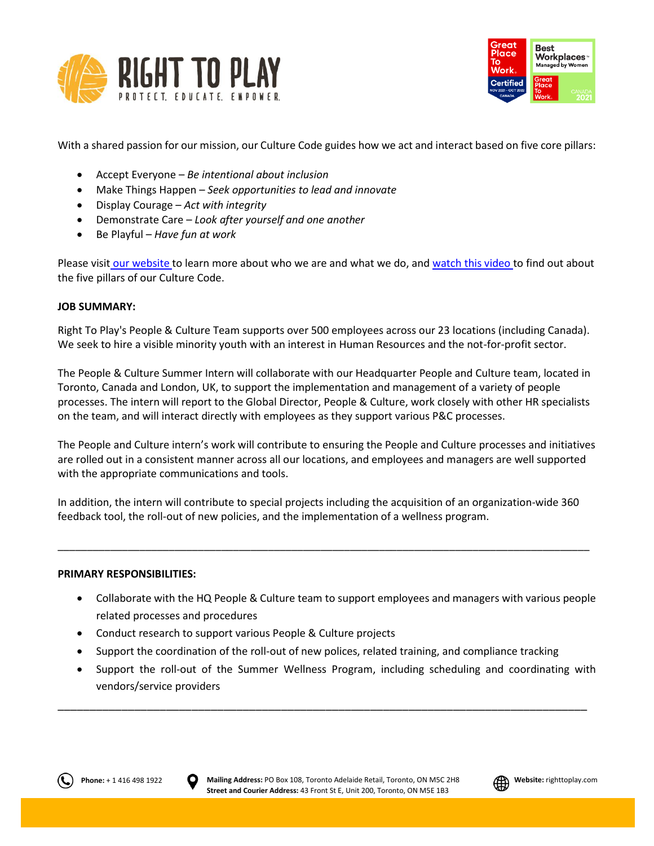



With a shared passion for our mission, our Culture Code guides how we act and interact based on five core pillars:

- Accept Everyone *Be intentional about inclusion*
- Make Things Happen *Seek opportunities to lead and innovate*
- Display Courage *Act with integrity*
- Demonstrate Care *Look after yourself and one another*
- Be Playful *Have fun at work*

Please visit [our website](http://www.righttoplay.ca/) to learn more about who we are and what we do, and [watch this video](https://www.righttoplay.com/en/landing/our-culture-code/) to find out about the five pillars of our Culture Code.

## **JOB SUMMARY:**

Right To Play's People & Culture Team supports over 500 employees across our 23 locations (including Canada). We seek to hire a visible minority youth with an interest in Human Resources and the not-for-profit sector.

The People & Culture Summer Intern will collaborate with our Headquarter People and Culture team, located in Toronto, Canada and London, UK, to support the implementation and management of a variety of people processes. The intern will report to the Global Director, People & Culture, work closely with other HR specialists on the team, and will interact directly with employees as they support various P&C processes.

The People and Culture intern's work will contribute to ensuring the People and Culture processes and initiatives are rolled out in a consistent manner across all our locations, and employees and managers are well supported with the appropriate communications and tools.

In addition, the intern will contribute to special projects including the acquisition of an organization-wide 360 feedback tool, the roll-out of new policies, and the implementation of a wellness program.

\_\_\_\_\_\_\_\_\_\_\_\_\_\_\_\_\_\_\_\_\_\_\_\_\_\_\_\_\_\_\_\_\_\_\_\_\_\_\_\_\_\_\_\_\_\_\_\_\_\_\_\_\_\_\_\_\_\_\_\_\_\_\_\_\_\_\_\_\_\_\_\_\_\_\_\_\_\_\_\_\_\_\_\_\_\_\_\_\_\_\_

#### **PRIMARY RESPONSIBILITIES:**

- Collaborate with the HQ People & Culture team to support employees and managers with various people related processes and procedures
- Conduct research to support various People & Culture projects
- Support the coordination of the roll-out of new polices, related training, and compliance tracking

\_\_\_\_\_\_\_\_\_\_\_\_\_\_\_\_\_\_\_\_\_\_\_\_\_\_\_\_\_\_\_\_\_\_\_\_\_\_\_\_\_\_\_\_\_\_\_\_\_\_\_\_\_\_\_\_\_\_\_\_\_\_\_\_\_\_\_\_\_\_\_\_\_\_\_\_\_\_\_\_\_\_\_

 Support the roll-out of the Summer Wellness Program, including scheduling and coordinating with vendors/service providers



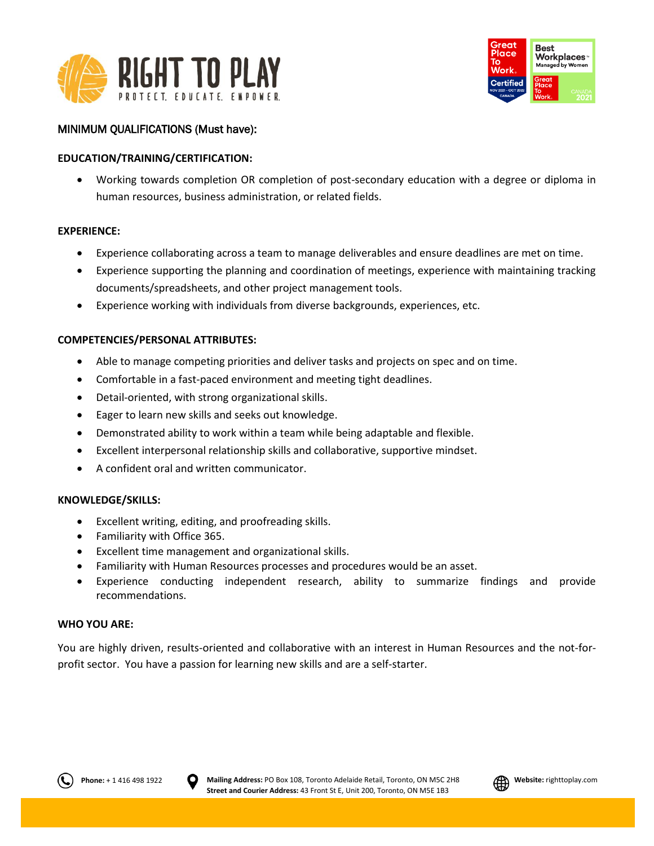



## MINIMUM QUALIFICATIONS (Must have):

## **EDUCATION/TRAINING/CERTIFICATION:**

 Working towards completion OR completion of post-secondary education with a degree or diploma in human resources, business administration, or related fields.

#### **EXPERIENCE:**

- Experience collaborating across a team to manage deliverables and ensure deadlines are met on time.
- Experience supporting the planning and coordination of meetings, experience with maintaining tracking documents/spreadsheets, and other project management tools.
- Experience working with individuals from diverse backgrounds, experiences, etc.

## **COMPETENCIES/PERSONAL ATTRIBUTES:**

- Able to manage competing priorities and deliver tasks and projects on spec and on time.
- Comfortable in a fast-paced environment and meeting tight deadlines.
- Detail-oriented, with strong organizational skills.
- Eager to learn new skills and seeks out knowledge.
- Demonstrated ability to work within a team while being adaptable and flexible.
- Excellent interpersonal relationship skills and collaborative, supportive mindset.
- A confident oral and written communicator.

#### **KNOWLEDGE/SKILLS:**

- Excellent writing, editing, and proofreading skills.
- Familiarity with Office 365.
- Excellent time management and organizational skills.
- Familiarity with Human Resources processes and procedures would be an asset.
- Experience conducting independent research, ability to summarize findings and provide recommendations.

#### **WHO YOU ARE:**

You are highly driven, results-oriented and collaborative with an interest in Human Resources and the not-forprofit sector. You have a passion for learning new skills and are a self-starter.